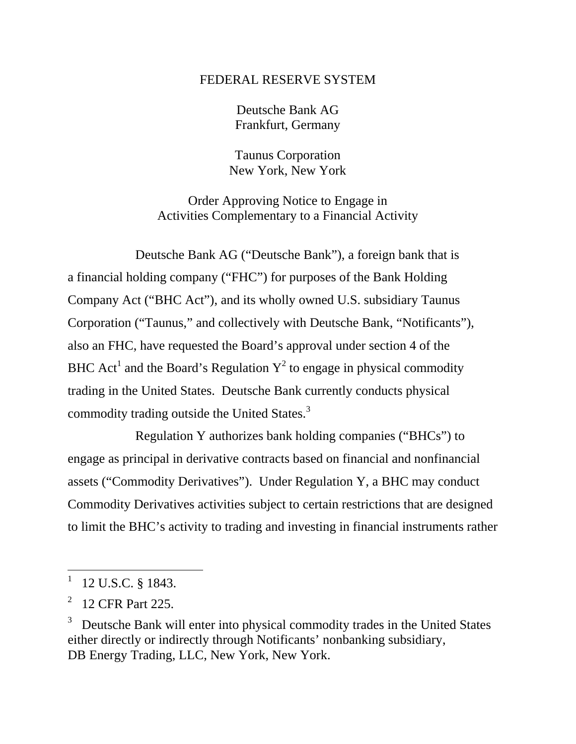## FEDERAL RESERVE SYSTEM

Deutsche Bank AG Frankfurt, Germany

Taunus Corporation New York, New York

Order Approving Notice to Engage in Activities Complementary to a Financial Activity

Deutsche Bank AG ("Deutsche Bank"), a foreign bank that is a financial holding company ("FHC") for purposes of the Bank Holding Company Act ("BHC Act"), and its wholly owned U.S. subsidiary Taunus Corporation ("Taunus," and collectively with Deutsche Bank, "Notificants"), also an FHC, have requested the Board's approval under section 4 of the BHC Act<sup>1</sup> and the Board's Regulation  $Y^2$  to engage in physical commodity trading in the United States. Deutsche Bank currently conducts physical commodity trading outside the United States.<sup>3</sup>

Regulation Y authorizes bank holding companies ("BHCs") to engage as principal in derivative contracts based on financial and nonfinancial assets ("Commodity Derivatives"). Under Regulation Y, a BHC may conduct Commodity Derivatives activities subject to certain restrictions that are designed to limit the BHC's activity to trading and investing in financial instruments rather

 $1$  12 U.S.C. § 1843.

<sup>2 12</sup> CFR Part 225.

<sup>3</sup> Deutsche Bank will enter into physical commodity trades in the United States either directly or indirectly through Notificants' nonbanking subsidiary, DB Energy Trading, LLC, New York, New York.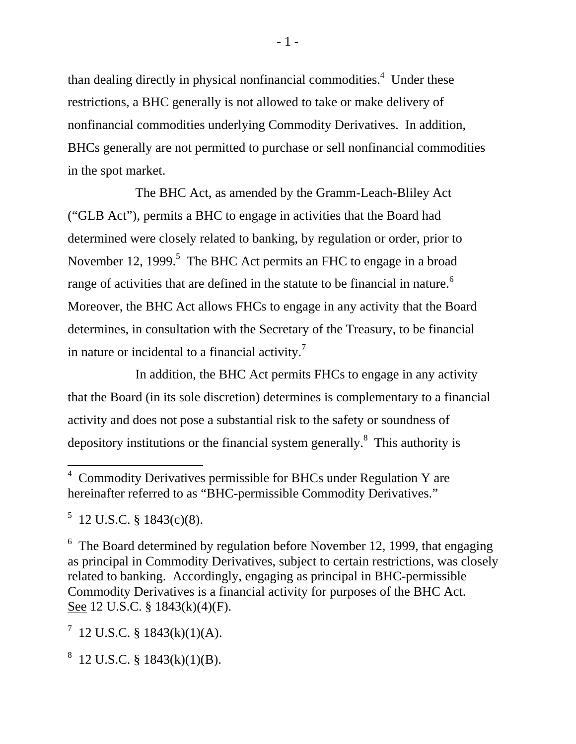than dealing directly in physical nonfinancial commodities.<sup>4</sup> Under these restrictions, a BHC generally is not allowed to take or make delivery of nonfinancial commodities underlying Commodity Derivatives. In addition, BHCs generally are not permitted to purchase or sell nonfinancial commodities in the spot market.

The BHC Act, as amended by the Gramm-Leach-Bliley Act ("GLB Act"), permits a BHC to engage in activities that the Board had determined were closely related to banking, by regulation or order, prior to November 12, 1999.<sup>5</sup> The BHC Act permits an FHC to engage in a broad range of activities that are defined in the statute to be financial in nature.<sup>6</sup> Moreover, the BHC Act allows FHCs to engage in any activity that the Board determines, in consultation with the Secretary of the Treasury, to be financial in nature or incidental to a financial activity.<sup>7</sup>

In addition, the BHC Act permits FHCs to engage in any activity that the Board (in its sole discretion) determines is complementary to a financial activity and does not pose a substantial risk to the safety or soundness of depository institutions or the financial system generally.8 This authority is

 $^7$  12 U.S.C. § 1843(k)(1)(A).

 $8 \text{ 12 U.S.C. } $1843(k)(1)(B).$ 

<sup>&</sup>lt;sup>4</sup> Commodity Derivatives permissible for BHCs under Regulation Y are hereinafter referred to as "BHC-permissible Commodity Derivatives."

 $5$  12 U.S.C. § 1843(c)(8).

 $6$  The Board determined by regulation before November 12, 1999, that engaging as principal in Commodity Derivatives, subject to certain restrictions, was closely related to banking. Accordingly, engaging as principal in BHC-permissible Commodity Derivatives is a financial activity for purposes of the BHC Act. See 12 U.S.C. § 1843(k)(4)(F).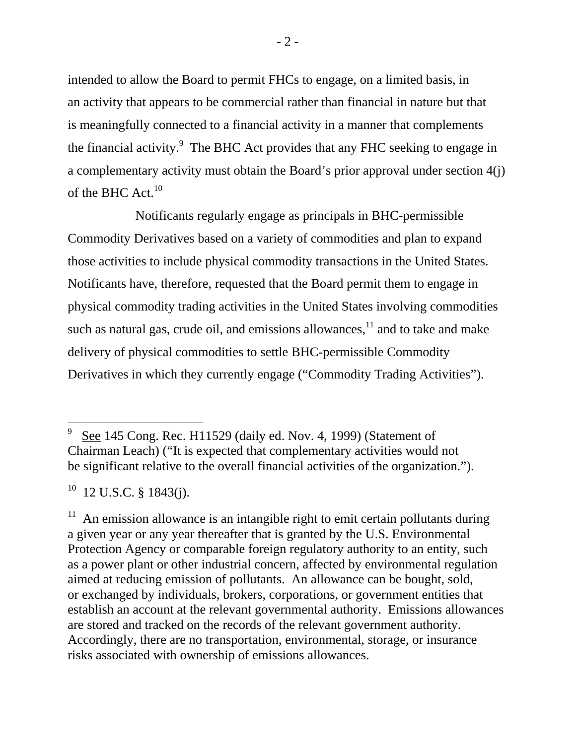intended to allow the Board to permit FHCs to engage, on a limited basis, in an activity that appears to be commercial rather than financial in nature but that is meaningfully connected to a financial activity in a manner that complements the financial activity. $9$  The BHC Act provides that any FHC seeking to engage in a complementary activity must obtain the Board's prior approval under section 4(j) of the BHC Act. $10$ 

Notificants regularly engage as principals in BHC-permissible Commodity Derivatives based on a variety of commodities and plan to expand those activities to include physical commodity transactions in the United States. Notificants have, therefore, requested that the Board permit them to engage in physical commodity trading activities in the United States involving commodities such as natural gas, crude oil, and emissions allowances,  $11$  and to take and make delivery of physical commodities to settle BHC-permissible Commodity Derivatives in which they currently engage ("Commodity Trading Activities").

 $10$  12 U.S.C. § 1843(j).

<sup>9</sup> See 145 Cong. Rec. H11529 (daily ed. Nov. 4, 1999) (Statement of Chairman Leach) ("It is expected that complementary activities would not be significant relative to the overall financial activities of the organization.").

<sup>&</sup>lt;sup>11</sup> An emission allowance is an intangible right to emit certain pollutants during a given year or any year thereafter that is granted by the U.S. Environmental Protection Agency or comparable foreign regulatory authority to an entity, such as a power plant or other industrial concern, affected by environmental regulation aimed at reducing emission of pollutants. An allowance can be bought, sold, or exchanged by individuals, brokers, corporations, or government entities that establish an account at the relevant governmental authority. Emissions allowances are stored and tracked on the records of the relevant government authority. Accordingly, there are no transportation, environmental, storage, or insurance risks associated with ownership of emissions allowances.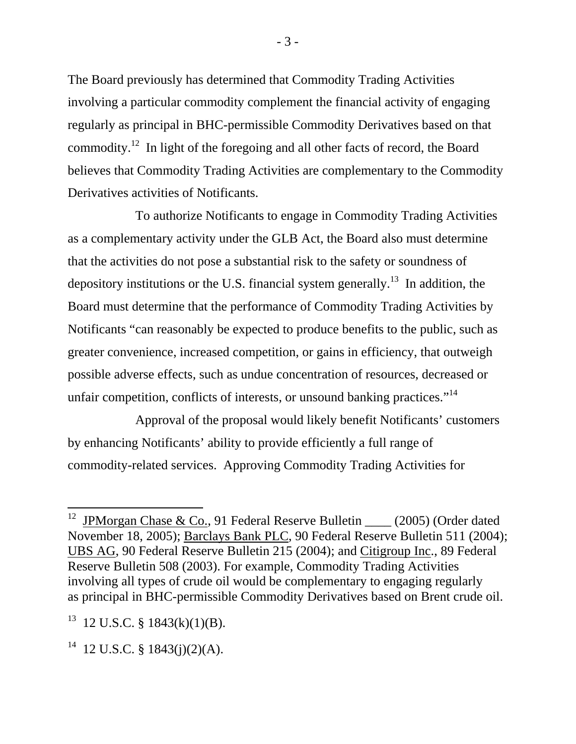The Board previously has determined that Commodity Trading Activities involving a particular commodity complement the financial activity of engaging regularly as principal in BHC-permissible Commodity Derivatives based on that commodity.12 In light of the foregoing and all other facts of record, the Board believes that Commodity Trading Activities are complementary to the Commodity Derivatives activities of Notificants.

To authorize Notificants to engage in Commodity Trading Activities as a complementary activity under the GLB Act, the Board also must determine that the activities do not pose a substantial risk to the safety or soundness of depository institutions or the U.S. financial system generally.<sup>13</sup> In addition, the Board must determine that the performance of Commodity Trading Activities by Notificants "can reasonably be expected to produce benefits to the public, such as greater convenience, increased competition, or gains in efficiency, that outweigh possible adverse effects, such as undue concentration of resources, decreased or unfair competition, conflicts of interests, or unsound banking practices."<sup>14</sup>

Approval of the proposal would likely benefit Notificants' customers by enhancing Notificants' ability to provide efficiently a full range of commodity-related services. Approving Commodity Trading Activities for

<sup>&</sup>lt;sup>12</sup> JPMorgan Chase & Co., 91 Federal Reserve Bulletin \_\_\_\_ (2005) (Order dated November 18, 2005); Barclays Bank PLC, 90 Federal Reserve Bulletin 511 (2004); UBS AG, 90 Federal Reserve Bulletin 215 (2004); and Citigroup Inc., 89 Federal Reserve Bulletin 508 (2003). For example, Commodity Trading Activities involving all types of crude oil would be complementary to engaging regularly as principal in BHC-permissible Commodity Derivatives based on Brent crude oil.

 $13$  12 U.S.C. § 1843(k)(1)(B).

 $14$  12 U.S.C. § 1843(j)(2)(A).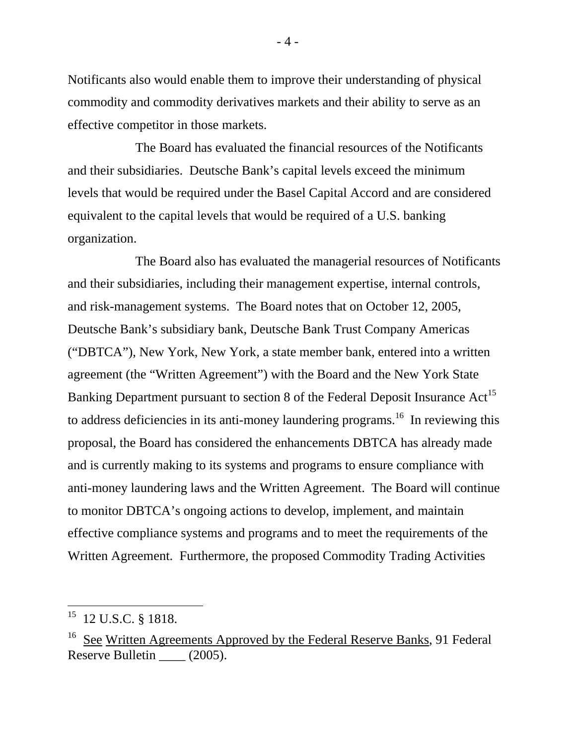Notificants also would enable them to improve their understanding of physical commodity and commodity derivatives markets and their ability to serve as an effective competitor in those markets.

The Board has evaluated the financial resources of the Notificants and their subsidiaries. Deutsche Bank's capital levels exceed the minimum levels that would be required under the Basel Capital Accord and are considered equivalent to the capital levels that would be required of a U.S. banking organization.

The Board also has evaluated the managerial resources of Notificants and their subsidiaries, including their management expertise, internal controls, and risk-management systems. The Board notes that on October 12, 2005, Deutsche Bank's subsidiary bank, Deutsche Bank Trust Company Americas ("DBTCA"), New York, New York, a state member bank, entered into a written agreement (the "Written Agreement") with the Board and the New York State Banking Department pursuant to section 8 of the Federal Deposit Insurance Act<sup>15</sup> to address deficiencies in its anti-money laundering programs.<sup>16</sup> In reviewing this proposal, the Board has considered the enhancements DBTCA has already made and is currently making to its systems and programs to ensure compliance with anti-money laundering laws and the Written Agreement. The Board will continue to monitor DBTCA's ongoing actions to develop, implement, and maintain effective compliance systems and programs and to meet the requirements of the Written Agreement. Furthermore, the proposed Commodity Trading Activities

<sup>15 12</sup> U.S.C. § 1818.

<sup>&</sup>lt;sup>16</sup> See Written Agreements Approved by the Federal Reserve Banks, 91 Federal Reserve Bulletin  $\frac{\sqrt{2005}}{\sqrt{2005}}$ .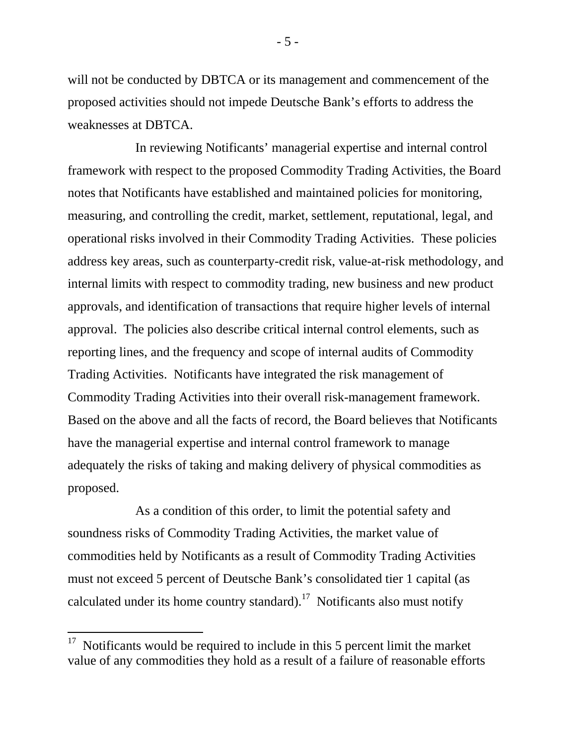will not be conducted by DBTCA or its management and commencement of the proposed activities should not impede Deutsche Bank's efforts to address the weaknesses at DBTCA.

In reviewing Notificants' managerial expertise and internal control framework with respect to the proposed Commodity Trading Activities, the Board notes that Notificants have established and maintained policies for monitoring, measuring, and controlling the credit, market, settlement, reputational, legal, and operational risks involved in their Commodity Trading Activities. These policies address key areas, such as counterparty-credit risk, value-at-risk methodology, and internal limits with respect to commodity trading, new business and new product approvals, and identification of transactions that require higher levels of internal approval. The policies also describe critical internal control elements, such as reporting lines, and the frequency and scope of internal audits of Commodity Trading Activities. Notificants have integrated the risk management of Commodity Trading Activities into their overall risk-management framework. Based on the above and all the facts of record, the Board believes that Notificants have the managerial expertise and internal control framework to manage adequately the risks of taking and making delivery of physical commodities as proposed.

As a condition of this order, to limit the potential safety and soundness risks of Commodity Trading Activities, the market value of commodities held by Notificants as a result of Commodity Trading Activities must not exceed 5 percent of Deutsche Bank's consolidated tier 1 capital (as calculated under its home country standard).<sup>17</sup> Notificants also must notify

- 5 -

 $17$  Notificants would be required to include in this 5 percent limit the market value of any commodities they hold as a result of a failure of reasonable efforts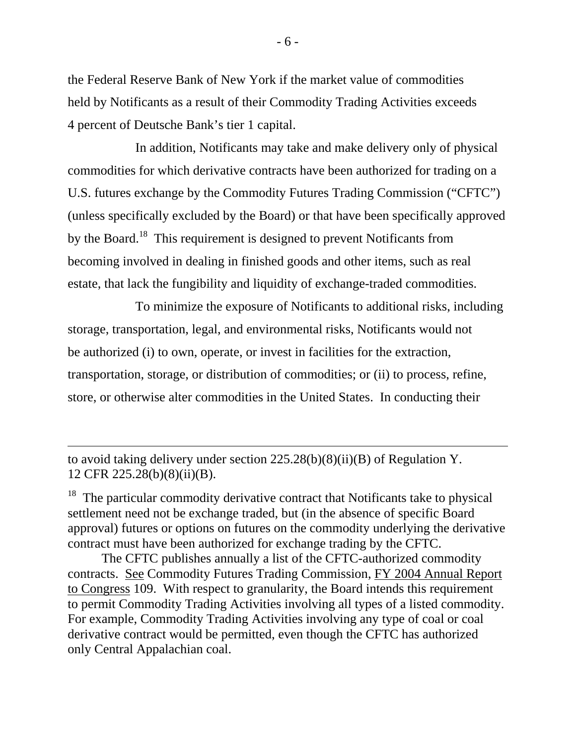the Federal Reserve Bank of New York if the market value of commodities held by Notificants as a result of their Commodity Trading Activities exceeds 4 percent of Deutsche Bank's tier 1 capital.

In addition, Notificants may take and make delivery only of physical commodities for which derivative contracts have been authorized for trading on a U.S. futures exchange by the Commodity Futures Trading Commission ("CFTC") (unless specifically excluded by the Board) or that have been specifically approved by the Board.<sup>18</sup> This requirement is designed to prevent Notificants from becoming involved in dealing in finished goods and other items, such as real estate, that lack the fungibility and liquidity of exchange-traded commodities.

To minimize the exposure of Notificants to additional risks, including storage, transportation, legal, and environmental risks, Notificants would not be authorized (i) to own, operate, or invest in facilities for the extraction, transportation, storage, or distribution of commodities; or (ii) to process, refine, store, or otherwise alter commodities in the United States. In conducting their

to avoid taking delivery under section 225.28(b)(8)(ii)(B) of Regulation Y. 12 CFR 225.28(b)(8)(ii)(B).

<sup>18</sup> The particular commodity derivative contract that Notificants take to physical settlement need not be exchange traded, but (in the absence of specific Board approval) futures or options on futures on the commodity underlying the derivative contract must have been authorized for exchange trading by the CFTC.

The CFTC publishes annually a list of the CFTC-authorized commodity contracts. See Commodity Futures Trading Commission, FY 2004 Annual Report to Congress 109. With respect to granularity, the Board intends this requirement to permit Commodity Trading Activities involving all types of a listed commodity. For example, Commodity Trading Activities involving any type of coal or coal derivative contract would be permitted, even though the CFTC has authorized only Central Appalachian coal.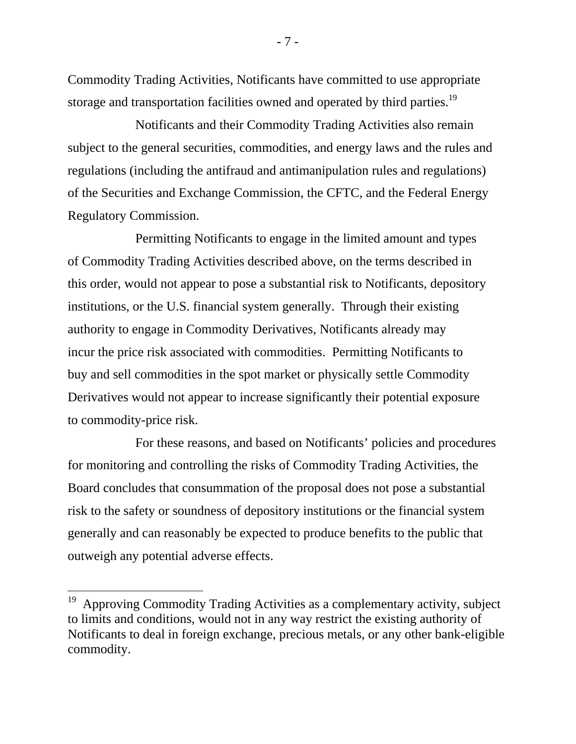Commodity Trading Activities, Notificants have committed to use appropriate storage and transportation facilities owned and operated by third parties.<sup>19</sup>

Notificants and their Commodity Trading Activities also remain subject to the general securities, commodities, and energy laws and the rules and regulations (including the antifraud and antimanipulation rules and regulations) of the Securities and Exchange Commission, the CFTC, and the Federal Energy Regulatory Commission.

Permitting Notificants to engage in the limited amount and types of Commodity Trading Activities described above, on the terms described in this order, would not appear to pose a substantial risk to Notificants, depository institutions, or the U.S. financial system generally. Through their existing authority to engage in Commodity Derivatives, Notificants already may incur the price risk associated with commodities. Permitting Notificants to buy and sell commodities in the spot market or physically settle Commodity Derivatives would not appear to increase significantly their potential exposure to commodity-price risk.

For these reasons, and based on Notificants' policies and procedures for monitoring and controlling the risks of Commodity Trading Activities, the Board concludes that consummation of the proposal does not pose a substantial risk to the safety or soundness of depository institutions or the financial system generally and can reasonably be expected to produce benefits to the public that outweigh any potential adverse effects.

- 7 -

 $19$  Approving Commodity Trading Activities as a complementary activity, subject to limits and conditions, would not in any way restrict the existing authority of Notificants to deal in foreign exchange, precious metals, or any other bank-eligible commodity.